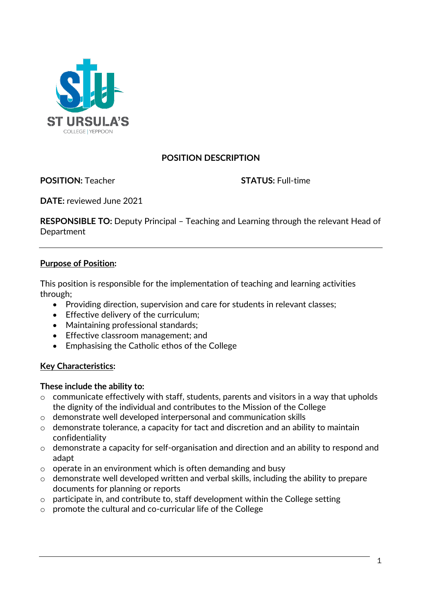

## **POSITION DESCRIPTION**

**POSITION:** Teacher **STATUS:** Full-time

**DATE:** reviewed June 2021

**RESPONSIBLE TO:** Deputy Principal – Teaching and Learning through the relevant Head of **Department** 

#### **Purpose of Position:**

This position is responsible for the implementation of teaching and learning activities through;

- Providing direction, supervision and care for students in relevant classes;
- Effective delivery of the curriculum;
- Maintaining professional standards;
- Effective classroom management; and
- Emphasising the Catholic ethos of the College

#### **Key Characteristics:**

#### **These include the ability to:**

- o communicate effectively with staff, students, parents and visitors in a way that upholds the dignity of the individual and contributes to the Mission of the College
- o demonstrate well developed interpersonal and communication skills
- o demonstrate tolerance, a capacity for tact and discretion and an ability to maintain confidentiality
- o demonstrate a capacity for self-organisation and direction and an ability to respond and adapt
- o operate in an environment which is often demanding and busy
- o demonstrate well developed written and verbal skills, including the ability to prepare documents for planning or reports
- $\circ$  participate in, and contribute to, staff development within the College setting
- o promote the cultural and co-curricular life of the College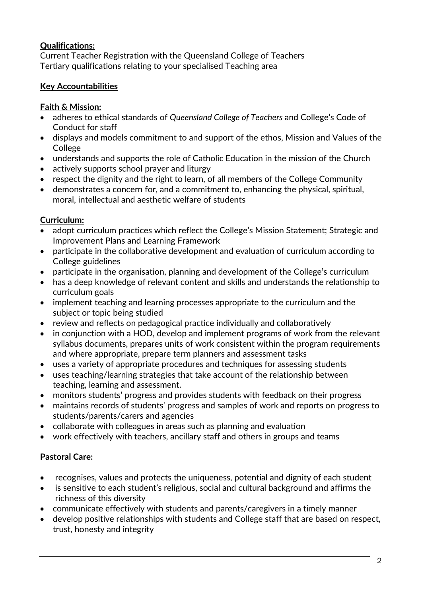## **Qualifications:**

Current Teacher Registration with the Queensland College of Teachers Tertiary qualifications relating to your specialised Teaching area

## **Key Accountabilities**

## **Faith & Mission:**

- adheres to ethical standards of *Queensland College of Teachers* and College's Code of Conduct for staff
- displays and models commitment to and support of the ethos, Mission and Values of the College
- understands and supports the role of Catholic Education in the mission of the Church
- actively supports school prayer and liturgy
- respect the dignity and the right to learn, of all members of the College Community
- demonstrates a concern for, and a commitment to, enhancing the physical, spiritual, moral, intellectual and aesthetic welfare of students

## **Curriculum:**

- adopt curriculum practices which reflect the College's Mission Statement; Strategic and Improvement Plans and Learning Framework
- participate in the collaborative development and evaluation of curriculum according to College guidelines
- participate in the organisation, planning and development of the College's curriculum
- has a deep knowledge of relevant content and skills and understands the relationship to curriculum goals
- implement teaching and learning processes appropriate to the curriculum and the subject or topic being studied
- review and reflects on pedagogical practice individually and collaboratively
- in conjunction with a HOD, develop and implement programs of work from the relevant syllabus documents, prepares units of work consistent within the program requirements and where appropriate, prepare term planners and assessment tasks
- uses a variety of appropriate procedures and techniques for assessing students
- uses teaching/learning strategies that take account of the relationship between teaching, learning and assessment.
- monitors students' progress and provides students with feedback on their progress
- maintains records of students' progress and samples of work and reports on progress to students/parents/carers and agencies
- collaborate with colleagues in areas such as planning and evaluation
- work effectively with teachers, ancillary staff and others in groups and teams

# **Pastoral Care:**

- recognises, values and protects the uniqueness, potential and dignity of each student
- is sensitive to each student's religious, social and cultural background and affirms the richness of this diversity
- communicate effectively with students and parents/caregivers in a timely manner
- develop positive relationships with students and College staff that are based on respect, trust, honesty and integrity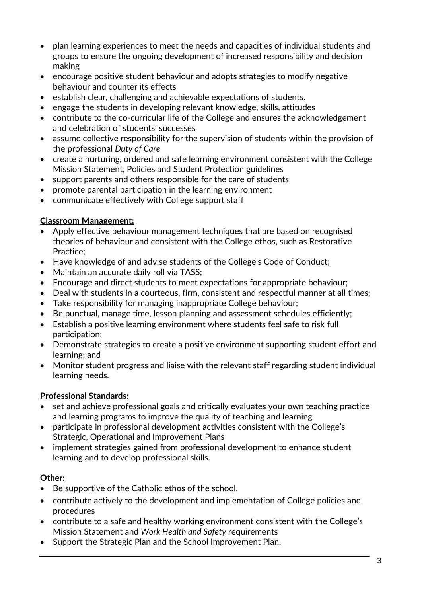- plan learning experiences to meet the needs and capacities of individual students and groups to ensure the ongoing development of increased responsibility and decision making
- encourage positive student behaviour and adopts strategies to modify negative behaviour and counter its effects
- establish clear, challenging and achievable expectations of students.
- engage the students in developing relevant knowledge, skills, attitudes
- contribute to the co-curricular life of the College and ensures the acknowledgement and celebration of students' successes
- assume collective responsibility for the supervision of students within the provision of the professional *Duty of Care*
- create a nurturing, ordered and safe learning environment consistent with the College Mission Statement, Policies and Student Protection guidelines
- support parents and others responsible for the care of students
- promote parental participation in the learning environment
- communicate effectively with College support staff

### **Classroom Management:**

- Apply effective behaviour management techniques that are based on recognised theories of behaviour and consistent with the College ethos, such as Restorative Practice;
- Have knowledge of and advise students of the College's Code of Conduct:
- Maintain an accurate daily roll via TASS;
- Encourage and direct students to meet expectations for appropriate behaviour;
- Deal with students in a courteous, firm, consistent and respectful manner at all times;
- Take responsibility for managing inappropriate College behaviour;
- Be punctual, manage time, lesson planning and assessment schedules efficiently;
- Establish a positive learning environment where students feel safe to risk full participation;
- Demonstrate strategies to create a positive environment supporting student effort and learning; and
- Monitor student progress and liaise with the relevant staff regarding student individual learning needs.

### **Professional Standards:**

- set and achieve professional goals and critically evaluates your own teaching practice and learning programs to improve the quality of teaching and learning
- participate in professional development activities consistent with the College's Strategic, Operational and Improvement Plans
- implement strategies gained from professional development to enhance student learning and to develop professional skills.

### **Other:**

- Be supportive of the Catholic ethos of the school.
- contribute actively to the development and implementation of College policies and procedures
- contribute to a safe and healthy working environment consistent with the College's Mission Statement and *Work Health and Safety* requirements
- Support the Strategic Plan and the School Improvement Plan.